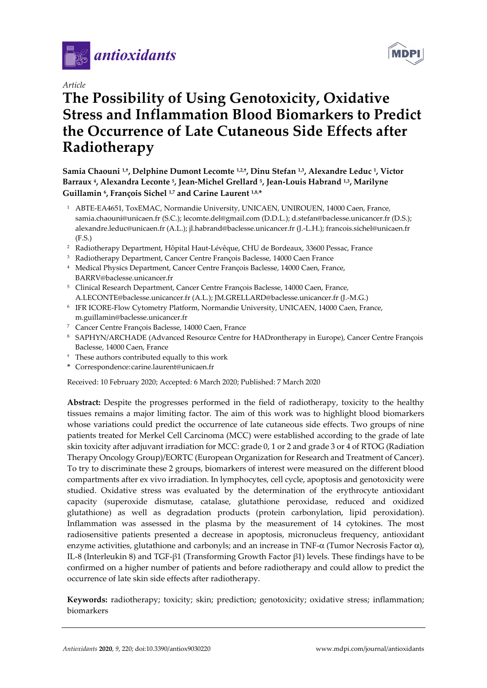

*Article* 

# **The Possibility of Using Genotoxicity, Oxidative Stress and Inflammation Blood Biomarkers to Predict the Occurrence of Late Cutaneous Side Effects after Radiotherapy**

Samia Chaouni <sup>1,†</sup>, Delphine Dumont Lecomte <sup>1,2,†</sup>, Dinu Stefan <sup>1,3</sup>, Alexandre Leduc <sup>1</sup>, Victor **Barraux 4, Alexandra Leconte 5, Jean-Michel Grellard 5, Jean-Louis Habrand 1,3, Marilyne Guillamin 6, François Sichel 1,7 and Carine Laurent 1,8,\*** 

- <sup>1</sup> ABTE-EA4651, ToxEMAC, Normandie University, UNICAEN, UNIROUEN, 14000 Caen, France, samia.chaouni@unicaen.fr (S.C.); lecomte.del@gmail.com (D.D.L.); d.stefan@baclesse.unicancer.fr (D.S.); alexandre.leduc@unicaen.fr (A.L.); jl.habrand@baclesse.unicancer.fr (J.-L.H.); francois.sichel@unicaen.fr (F.S.)
- 2 Radiotherapy Department, Hôpital Haut-Lévêque, CHU de Bordeaux, 33600 Pessac, France
- 3 Radiotherapy Department, Cancer Centre François Baclesse, 14000 Caen France
- 4 Medical Physics Department, Cancer Centre François Baclesse, 14000 Caen, France, BARRV@baclesse.unicancer.fr
- 5 Clinical Research Department, Cancer Centre François Baclesse, 14000 Caen, France, A.LECONTE@baclesse.unicancer.fr (A.L.); JM.GRELLARD@baclesse.unicancer.fr (J.-M.G.)
- 6 IFR ICORE-Flow Cytometry Platform, Normandie University, UNICAEN, 14000 Caen, France, m.guillamin@baclesse.unicancer.fr
- 7 Cancer Centre François Baclesse, 14000 Caen, France
- 8 SAPHYN/ARCHADE (Advanced Resource Centre for HADrontherapy in Europe), Cancer Centre François Baclesse, 14000 Caen, France
- † These authors contributed equally to this work
- **\*** Correspondence: carine.laurent@unicaen.fr

Received: 10 February 2020; Accepted: 6 March 2020; Published: 7 March 2020

**Abstract:** Despite the progresses performed in the field of radiotherapy, toxicity to the healthy tissues remains a major limiting factor. The aim of this work was to highlight blood biomarkers whose variations could predict the occurrence of late cutaneous side effects. Two groups of nine patients treated for Merkel Cell Carcinoma (MCC) were established according to the grade of late skin toxicity after adjuvant irradiation for MCC: grade 0, 1 or 2 and grade 3 or 4 of RTOG (Radiation Therapy Oncology Group)/EORTC (European Organization for Research and Treatment of Cancer). To try to discriminate these 2 groups, biomarkers of interest were measured on the different blood compartments after ex vivo irradiation. In lymphocytes, cell cycle, apoptosis and genotoxicity were studied. Oxidative stress was evaluated by the determination of the erythrocyte antioxidant capacity (superoxide dismutase, catalase, glutathione peroxidase, reduced and oxidized glutathione) as well as degradation products (protein carbonylation, lipid peroxidation). Inflammation was assessed in the plasma by the measurement of 14 cytokines. The most radiosensitive patients presented a decrease in apoptosis, micronucleus frequency, antioxidant enzyme activities, glutathione and carbonyls; and an increase in TNF- $\alpha$  (Tumor Necrosis Factor  $\alpha$ ), IL-8 (Interleukin 8) and TGF-β1 (Transforming Growth Factor β1) levels. These findings have to be confirmed on a higher number of patients and before radiotherapy and could allow to predict the occurrence of late skin side effects after radiotherapy.

**Keywords:** radiotherapy; toxicity; skin; prediction; genotoxicity; oxidative stress; inflammation; biomarkers

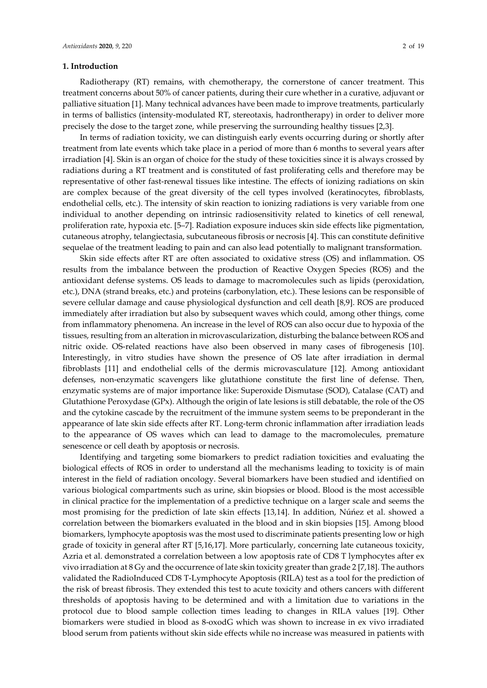## **1. Introduction**

Radiotherapy (RT) remains, with chemotherapy, the cornerstone of cancer treatment. This treatment concerns about 50% of cancer patients, during their cure whether in a curative, adjuvant or palliative situation [1]. Many technical advances have been made to improve treatments, particularly in terms of ballistics (intensity-modulated RT, stereotaxis, hadrontherapy) in order to deliver more precisely the dose to the target zone, while preserving the surrounding healthy tissues [2,3].

In terms of radiation toxicity, we can distinguish early events occurring during or shortly after treatment from late events which take place in a period of more than 6 months to several years after irradiation [4]. Skin is an organ of choice for the study of these toxicities since it is always crossed by radiations during a RT treatment and is constituted of fast proliferating cells and therefore may be representative of other fast-renewal tissues like intestine. The effects of ionizing radiations on skin are complex because of the great diversity of the cell types involved (keratinocytes, fibroblasts, endothelial cells, etc.). The intensity of skin reaction to ionizing radiations is very variable from one individual to another depending on intrinsic radiosensitivity related to kinetics of cell renewal, proliferation rate, hypoxia etc. [5–7]. Radiation exposure induces skin side effects like pigmentation, cutaneous atrophy, telangiectasia, subcutaneous fibrosis or necrosis [4]. This can constitute definitive sequelae of the treatment leading to pain and can also lead potentially to malignant transformation.

Skin side effects after RT are often associated to oxidative stress (OS) and inflammation. OS results from the imbalance between the production of Reactive Oxygen Species (ROS) and the antioxidant defense systems. OS leads to damage to macromolecules such as lipids (peroxidation, etc.), DNA (strand breaks, etc.) and proteins (carbonylation, etc.). These lesions can be responsible of severe cellular damage and cause physiological dysfunction and cell death [8,9]. ROS are produced immediately after irradiation but also by subsequent waves which could, among other things, come from inflammatory phenomena. An increase in the level of ROS can also occur due to hypoxia of the tissues, resulting from an alteration in microvascularization, disturbing the balance between ROS and nitric oxide. OS-related reactions have also been observed in many cases of fibrogenesis [10]. Interestingly, in vitro studies have shown the presence of OS late after irradiation in dermal fibroblasts [11] and endothelial cells of the dermis microvasculature [12]. Among antioxidant defenses, non-enzymatic scavengers like glutathione constitute the first line of defense. Then, enzymatic systems are of major importance like: Superoxide Dismutase (SOD), Catalase (CAT) and Glutathione Peroxydase (GPx). Although the origin of late lesions is still debatable, the role of the OS and the cytokine cascade by the recruitment of the immune system seems to be preponderant in the appearance of late skin side effects after RT. Long-term chronic inflammation after irradiation leads to the appearance of OS waves which can lead to damage to the macromolecules, premature senescence or cell death by apoptosis or necrosis.

Identifying and targeting some biomarkers to predict radiation toxicities and evaluating the biological effects of ROS in order to understand all the mechanisms leading to toxicity is of main interest in the field of radiation oncology. Several biomarkers have been studied and identified on various biological compartments such as urine, skin biopsies or blood. Blood is the most accessible in clinical practice for the implementation of a predictive technique on a larger scale and seems the most promising for the prediction of late skin effects [13,14]. In addition, Núńez et al. showed a correlation between the biomarkers evaluated in the blood and in skin biopsies [15]. Among blood biomarkers, lymphocyte apoptosis was the most used to discriminate patients presenting low or high grade of toxicity in general after RT [5,16,17]. More particularly, concerning late cutaneous toxicity, Azria et al. demonstrated a correlation between a low apoptosis rate of CD8 T lymphocytes after ex vivo irradiation at 8 Gy and the occurrence of late skin toxicity greater than grade 2 [7,18]. The authors validated the RadioInduced CD8 T-Lymphocyte Apoptosis (RILA) test as a tool for the prediction of the risk of breast fibrosis. They extended this test to acute toxicity and others cancers with different thresholds of apoptosis having to be determined and with a limitation due to variations in the protocol due to blood sample collection times leading to changes in RILA values [19]. Other biomarkers were studied in blood as 8-oxodG which was shown to increase in ex vivo irradiated blood serum from patients without skin side effects while no increase was measured in patients with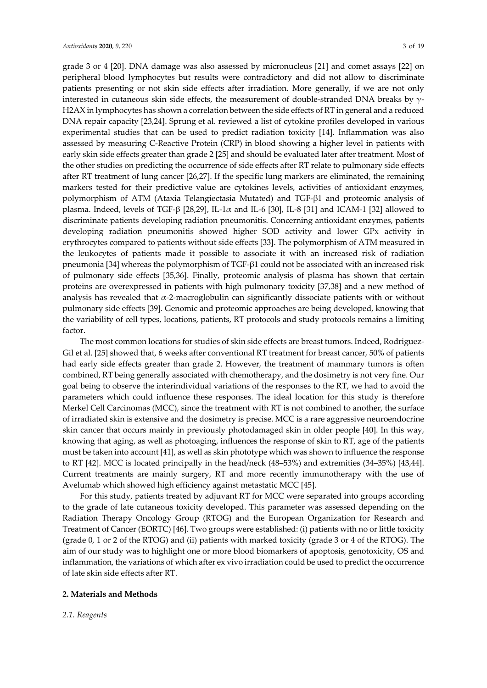grade 3 or 4 [20]. DNA damage was also assessed by micronucleus [21] and comet assays [22] on peripheral blood lymphocytes but results were contradictory and did not allow to discriminate patients presenting or not skin side effects after irradiation. More generally, if we are not only interested in cutaneous skin side effects, the measurement of double-stranded DNA breaks by  $\gamma$ -H2AX in lymphocytes has shown a correlation between the side effects of RT in general and a reduced DNA repair capacity [23,24]. Sprung et al. reviewed a list of cytokine profiles developed in various experimental studies that can be used to predict radiation toxicity [14]. Inflammation was also assessed by measuring C-Reactive Protein (CRP) in blood showing a higher level in patients with early skin side effects greater than grade 2 [25] and should be evaluated later after treatment. Most of the other studies on predicting the occurrence of side effects after RT relate to pulmonary side effects after RT treatment of lung cancer [26,27]. If the specific lung markers are eliminated, the remaining markers tested for their predictive value are cytokines levels, activities of antioxidant enzymes, polymorphism of ATM (Ataxia Telangiectasia Mutated) and TGF-β1 and proteomic analysis of plasma. Indeed, levels of TGF-β [28,29], IL-1α and IL-6 [30], IL-8 [31] and ICAM-1 [32] allowed to discriminate patients developing radiation pneumonitis. Concerning antioxidant enzymes, patients developing radiation pneumonitis showed higher SOD activity and lower GPx activity in erythrocytes compared to patients without side effects [33]. The polymorphism of ATM measured in the leukocytes of patients made it possible to associate it with an increased risk of radiation pneumonia [34] whereas the polymorphism of TGF-β1 could not be associated with an increased risk of pulmonary side effects [35,36]. Finally, proteomic analysis of plasma has shown that certain proteins are overexpressed in patients with high pulmonary toxicity [37,38] and a new method of analysis has revealed that  $\alpha$ -2-macroglobulin can significantly dissociate patients with or without pulmonary side effects [39]. Genomic and proteomic approaches are being developed, knowing that the variability of cell types, locations, patients, RT protocols and study protocols remains a limiting factor.

The most common locations for studies of skin side effects are breast tumors. Indeed, Rodriguez-Gil et al. [25] showed that, 6 weeks after conventional RT treatment for breast cancer, 50% of patients had early side effects greater than grade 2. However, the treatment of mammary tumors is often combined, RT being generally associated with chemotherapy, and the dosimetry is not very fine. Our goal being to observe the interindividual variations of the responses to the RT, we had to avoid the parameters which could influence these responses. The ideal location for this study is therefore Merkel Cell Carcinomas (MCC), since the treatment with RT is not combined to another, the surface of irradiated skin is extensive and the dosimetry is precise. MCC is a rare aggressive neuroendocrine skin cancer that occurs mainly in previously photodamaged skin in older people [40]. In this way, knowing that aging, as well as photoaging, influences the response of skin to RT, age of the patients must be taken into account [41], as well as skin phototype which was shown to influence the response to RT [42]. MCC is located principally in the head/neck (48–53%) and extremities (34–35%) [43,44]. Current treatments are mainly surgery, RT and more recently immunotherapy with the use of Avelumab which showed high efficiency against metastatic MCC [45].

For this study, patients treated by adjuvant RT for MCC were separated into groups according to the grade of late cutaneous toxicity developed. This parameter was assessed depending on the Radiation Therapy Oncology Group (RTOG) and the European Organization for Research and Treatment of Cancer (EORTC) [46]. Two groups were established: (i) patients with no or little toxicity (grade 0, 1 or 2 of the RTOG) and (ii) patients with marked toxicity (grade 3 or 4 of the RTOG). The aim of our study was to highlight one or more blood biomarkers of apoptosis, genotoxicity, OS and inflammation, the variations of which after ex vivo irradiation could be used to predict the occurrence of late skin side effects after RT.

# **2. Materials and Methods**

*2.1. Reagents*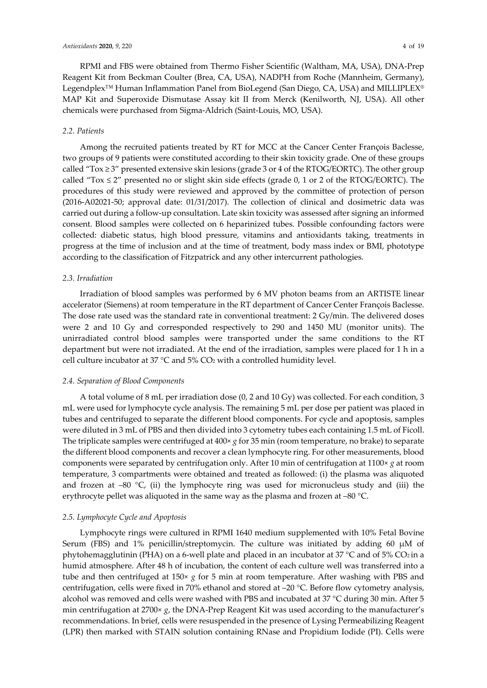#### *Antioxidants* **2020**, *9*, 220 4 of 19

RPMI and FBS were obtained from Thermo Fisher Scientific (Waltham, MA, USA), DNA-Prep Reagent Kit from Beckman Coulter (Brea, CA, USA), NADPH from Roche (Mannheim, Germany), Legendplex™ Human Inflammation Panel from BioLegend (San Diego, CA, USA) and MILLIPLEX® MAP Kit and Superoxide Dismutase Assay kit II from Merck (Kenilworth, NJ, USA). All other chemicals were purchased from Sigma-Aldrich (Saint-Louis, MO, USA).

## *2.2. Patients*

Among the recruited patients treated by RT for MCC at the Cancer Center François Baclesse, two groups of 9 patients were constituted according to their skin toxicity grade. One of these groups called "Tox  $\geq 3$ " presented extensive skin lesions (grade 3 or 4 of the RTOG/EORTC). The other group called "Tox  $\leq 2$ " presented no or slight skin side effects (grade 0, 1 or 2 of the RTOG/EORTC). The procedures of this study were reviewed and approved by the committee of protection of person (2016-A02021-50; approval date: 01/31/2017). The collection of clinical and dosimetric data was carried out during a follow-up consultation. Late skin toxicity was assessed after signing an informed consent. Blood samples were collected on 6 heparinized tubes. Possible confounding factors were collected: diabetic status, high blood pressure, vitamins and antioxidants taking, treatments in progress at the time of inclusion and at the time of treatment, body mass index or BMI, phototype according to the classification of Fitzpatrick and any other intercurrent pathologies.

#### *2.3. Irradiation*

Irradiation of blood samples was performed by 6 MV photon beams from an ARTISTE linear accelerator (Siemens) at room temperature in the RT department of Cancer Center François Baclesse. The dose rate used was the standard rate in conventional treatment: 2 Gy/min. The delivered doses were 2 and 10 Gy and corresponded respectively to 290 and 1450 MU (monitor units). The unirradiated control blood samples were transported under the same conditions to the RT department but were not irradiated. At the end of the irradiation, samples were placed for 1 h in a cell culture incubator at 37 °C and 5%  $CO<sub>2</sub>$  with a controlled humidity level.

#### *2.4. Separation of Blood Components*

A total volume of 8 mL per irradiation dose (0, 2 and 10 Gy) was collected. For each condition, 3 mL were used for lymphocyte cycle analysis. The remaining 5 mL per dose per patient was placed in tubes and centrifuged to separate the different blood components. For cycle and apoptosis, samples were diluted in 3 mL of PBS and then divided into 3 cytometry tubes each containing 1.5 mL of Ficoll. The triplicate samples were centrifuged at 400× *g* for 35 min (room temperature, no brake) to separate the different blood components and recover a clean lymphocyte ring. For other measurements, blood components were separated by centrifugation only. After 10 min of centrifugation at 1100× *g* at room temperature, 3 compartments were obtained and treated as followed: (i) the plasma was aliquoted and frozen at  $-80$  °C, (ii) the lymphocyte ring was used for micronucleus study and (iii) the erythrocyte pellet was aliquoted in the same way as the plasma and frozen at –80 °C.

#### *2.5. Lymphocyte Cycle and Apoptosis*

Lymphocyte rings were cultured in RPMI 1640 medium supplemented with 10% Fetal Bovine Serum (FBS) and 1% penicillin/streptomycin. The culture was initiated by adding 60  $\mu$ M of phytohemagglutinin (PHA) on a 6-well plate and placed in an incubator at 37 °C and of 5% CO2 in a humid atmosphere. After 48 h of incubation, the content of each culture well was transferred into a tube and then centrifuged at 150× *g* for 5 min at room temperature. After washing with PBS and centrifugation, cells were fixed in 70% ethanol and stored at –20 °C. Before flow cytometry analysis, alcohol was removed and cells were washed with PBS and incubated at 37 °C during 30 min. After 5 min centrifugation at 2700× *g*, the DNA-Prep Reagent Kit was used according to the manufacturer's recommendations. In brief, cells were resuspended in the presence of Lysing Permeabilizing Reagent (LPR) then marked with STAIN solution containing RNase and Propidium Iodide (PI). Cells were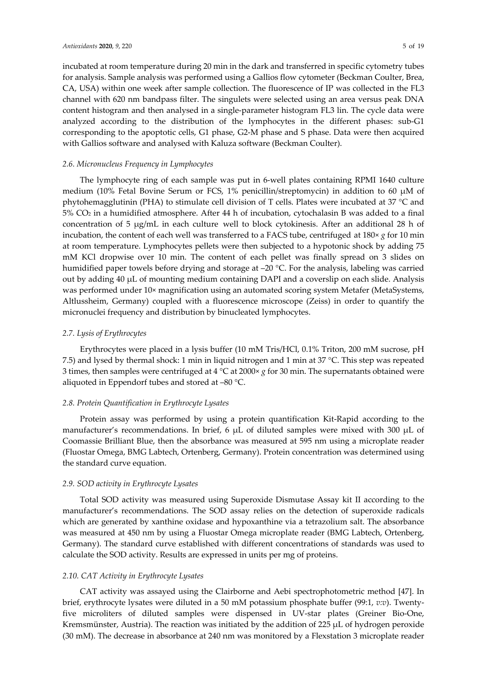incubated at room temperature during 20 min in the dark and transferred in specific cytometry tubes for analysis. Sample analysis was performed using a Gallios flow cytometer (Beckman Coulter, Brea, CA, USA) within one week after sample collection. The fluorescence of IP was collected in the FL3 channel with 620 nm bandpass filter. The singulets were selected using an area versus peak DNA content histogram and then analysed in a single-parameter histogram FL3 lin. The cycle data were analyzed according to the distribution of the lymphocytes in the different phases: sub-G1 corresponding to the apoptotic cells, G1 phase, G2-M phase and S phase. Data were then acquired with Gallios software and analysed with Kaluza software (Beckman Coulter).

## *2.6. Micronucleus Frequency in Lymphocytes*

The lymphocyte ring of each sample was put in 6-well plates containing RPMI 1640 culture medium (10% Fetal Bovine Serum or FCS, 1% penicillin/streptomycin) in addition to 60  $\mu$ M of phytohemagglutinin (PHA) to stimulate cell division of T cells. Plates were incubated at 37 °C and 5% CO2 in a humidified atmosphere. After 44 h of incubation, cytochalasin B was added to a final concentration of 5 µg/mL in each culture well to block cytokinesis. After an additional 28 h of incubation, the content of each well was transferred to a FACS tube, centrifuged at 180× *g* for 10 min at room temperature. Lymphocytes pellets were then subjected to a hypotonic shock by adding 75 mM KCl dropwise over 10 min. The content of each pellet was finally spread on 3 slides on humidified paper towels before drying and storage at –20 °C. For the analysis, labeling was carried out by adding 40 µL of mounting medium containing DAPI and a coverslip on each slide. Analysis was performed under 10× magnification using an automated scoring system Metafer (MetaSystems, Altlussheim, Germany) coupled with a fluorescence microscope (Zeiss) in order to quantify the micronuclei frequency and distribution by binucleated lymphocytes.

#### *2.7. Lysis of Erythrocytes*

Erythrocytes were placed in a lysis buffer (10 mM Tris/HCl, 0.1% Triton, 200 mM sucrose, pH 7.5) and lysed by thermal shock: 1 min in liquid nitrogen and 1 min at 37 °C. This step was repeated 3 times, then samples were centrifuged at 4 °C at 2000× *g* for 30 min. The supernatants obtained were aliquoted in Eppendorf tubes and stored at –80 °C.

#### *2.8. Protein Quantification in Erythrocyte Lysates*

Protein assay was performed by using a protein quantification Kit-Rapid according to the manufacturer's recommendations. In brief, 6 µL of diluted samples were mixed with 300 µL of Coomassie Brilliant Blue, then the absorbance was measured at 595 nm using a microplate reader (Fluostar Omega, BMG Labtech, Ortenberg, Germany). Protein concentration was determined using the standard curve equation.

#### *2.9. SOD activity in Erythrocyte Lysates*

Total SOD activity was measured using Superoxide Dismutase Assay kit II according to the manufacturer's recommendations. The SOD assay relies on the detection of superoxide radicals which are generated by xanthine oxidase and hypoxanthine via a tetrazolium salt. The absorbance was measured at 450 nm by using a Fluostar Omega microplate reader (BMG Labtech, Ortenberg, Germany). The standard curve established with different concentrations of standards was used to calculate the SOD activity. Results are expressed in units per mg of proteins.

# *2.10. CAT Activity in Erythrocyte Lysates*

CAT activity was assayed using the Clairborne and Aebi spectrophotometric method [47]. In brief, erythrocyte lysates were diluted in a 50 mM potassium phosphate buffer (99:1, *v:v*). Twentyfive microliters of diluted samples were dispensed in UV-star plates (Greiner Bio-One, Kremsmünster, Austria). The reaction was initiated by the addition of 225 µL of hydrogen peroxide (30 mM). The decrease in absorbance at 240 nm was monitored by a Flexstation 3 microplate reader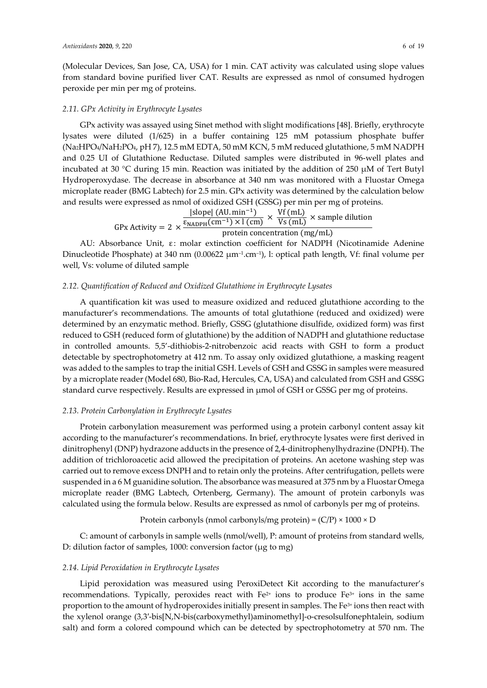(Molecular Devices, San Jose, CA, USA) for 1 min. CAT activity was calculated using slope values from standard bovine purified liver CAT. Results are expressed as nmol of consumed hydrogen peroxide per min per mg of proteins.

#### *2.11. GPx Activity in Erythrocyte Lysates*

GPx activity was assayed using Sinet method with slight modifications [48]. Briefly, erythrocyte lysates were diluted (1/625) in a buffer containing 125 mM potassium phosphate buffer (Na2HPO4/NaH2PO4, pH 7), 12.5 mM EDTA, 50 mM KCN, 5 mM reduced glutathione, 5 mM NADPH and 0.25 UI of Glutathione Reductase. Diluted samples were distributed in 96-well plates and incubated at 30 °C during 15 min. Reaction was initiated by the addition of 250  $\mu$ M of Tert Butyl Hydroperoxydase. The decrease in absorbance at 340 nm was monitored with a Fluostar Omega microplate reader (BMG Labtech) for 2.5 min. GPx activity was determined by the calculation below and results were expressed as nmol of oxidized GSH (GSSG) per min per mg of proteins.

GPx Activity  $= 2 \times$  $\frac{|\text{slope}|}{\epsilon_{\text{NADPH}}(\text{cm}^{-1}) \times 1 (\text{cm})} \times \frac{\text{Vf (mL)}}{\text{Vs (mL)}} \times \text{sample dilution}$ protein concentration (mg/mL)

AU: Absorbance Unit, ε: molar extinction coefficient for NADPH (Nicotinamide Adenine Dinucleotide Phosphate) at 340 nm (0.00622  $\mu$ m<sup>-1</sup>.cm<sup>-1</sup>), l: optical path length, Vf: final volume per well, Vs: volume of diluted sample

### *2.12. Quantification of Reduced and Oxidized Glutathione in Erythrocyte Lysates*

A quantification kit was used to measure oxidized and reduced glutathione according to the manufacturer's recommendations. The amounts of total glutathione (reduced and oxidized) were determined by an enzymatic method. Briefly, GSSG (glutathione disulfide, oxidized form) was first reduced to GSH (reduced form of glutathione) by the addition of NADPH and glutathione reductase in controlled amounts. 5,5'-dithiobis-2-nitrobenzoic acid reacts with GSH to form a product detectable by spectrophotometry at 412 nm. To assay only oxidized glutathione, a masking reagent was added to the samples to trap the initial GSH. Levels of GSH and GSSG in samples were measured by a microplate reader (Model 680, Bio-Rad, Hercules, CA, USA) and calculated from GSH and GSSG standard curve respectively. Results are expressed in  $\mu$ mol of GSH or GSSG per mg of proteins.

### *2.13. Protein Carbonylation in Erythrocyte Lysates*

Protein carbonylation measurement was performed using a protein carbonyl content assay kit according to the manufacturer's recommendations. In brief, erythrocyte lysates were first derived in dinitrophenyl (DNP) hydrazone adducts in the presence of 2,4-dinitrophenylhydrazine (DNPH). The addition of trichloroacetic acid allowed the precipitation of proteins. An acetone washing step was carried out to remove excess DNPH and to retain only the proteins. After centrifugation, pellets were suspended in a 6 M guanidine solution. The absorbance was measured at 375 nm by a Fluostar Omega microplate reader (BMG Labtech, Ortenberg, Germany). The amount of protein carbonyls was calculated using the formula below. Results are expressed as nmol of carbonyls per mg of proteins.

## Protein carbonyls (nmol carbonyls/mg protein) = (C/P) × 1000 × D

C: amount of carbonyls in sample wells (nmol/well), P: amount of proteins from standard wells, D: dilution factor of samples,  $1000$ : conversion factor ( $\mu$ g to mg)

#### *2.14. Lipid Peroxidation in Erythrocyte Lysates*

Lipid peroxidation was measured using PeroxiDetect Kit according to the manufacturer's recommendations. Typically, peroxides react with  $Fe<sup>2+</sup>$  ions to produce  $Fe<sup>3+</sup>$  ions in the same proportion to the amount of hydroperoxides initially present in samples. The Fe<sup>3+</sup> ions then react with the xylenol orange (3,3′-bis[N,N-bis(carboxymethyl)aminomethyl]-o-cresolsulfonephtalein, sodium salt) and form a colored compound which can be detected by spectrophotometry at 570 nm. The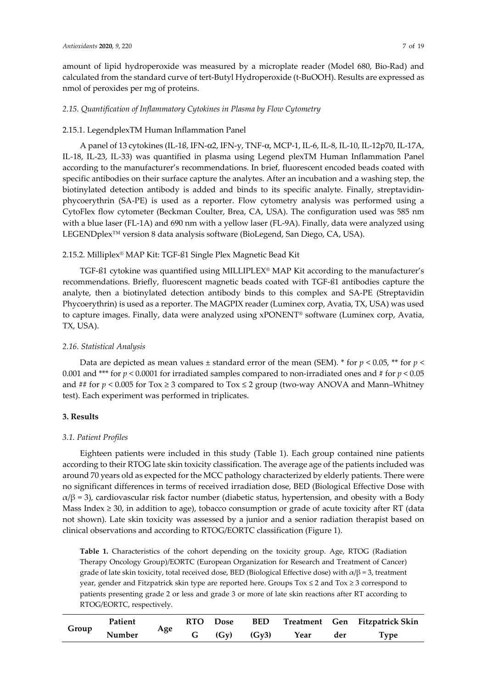amount of lipid hydroperoxide was measured by a microplate reader (Model 680, Bio-Rad) and calculated from the standard curve of tert-Butyl Hydroperoxide (t-BuOOH). Results are expressed as nmol of peroxides per mg of proteins.

#### *2.15. Quantification of Inflammatory Cytokines in Plasma by Flow Cytometry*

#### 2.15.1. LegendplexTM Human Inflammation Panel

A panel of 13 cytokines (IL-1ß, IFN-α2, IFN-y, TNF-α, MCP-1, IL-6, IL-8, IL-10, IL-12p70, IL-17A, IL-18, IL-23, IL-33) was quantified in plasma using Legend plexTM Human Inflammation Panel according to the manufacturer's recommendations. In brief, fluorescent encoded beads coated with specific antibodies on their surface capture the analytes. After an incubation and a washing step, the biotinylated detection antibody is added and binds to its specific analyte. Finally, streptavidinphycoerythrin (SA-PE) is used as a reporter. Flow cytometry analysis was performed using a CytoFlex flow cytometer (Beckman Coulter, Brea, CA, USA). The configuration used was 585 nm with a blue laser (FL-1A) and 690 nm with a yellow laser (FL-9A). Finally, data were analyzed using LEGENDplex™ version 8 data analysis software (BioLegend, San Diego, CA, USA).

## 2.15.2. Milliplex® MAP Kit: TGF-ß1 Single Plex Magnetic Bead Kit

TGF-ß1 cytokine was quantified using MILLIPLEX® MAP Kit according to the manufacturer's recommendations. Briefly, fluorescent magnetic beads coated with TGF-ß1 antibodies capture the analyte, then a biotinylated detection antibody binds to this complex and SA-PE (Streptavidin Phycoerythrin) is used as a reporter. The MAGPIX reader (Luminex corp, Avatia, TX, USA) was used to capture images. Finally, data were analyzed using xPONENT® software (Luminex corp, Avatia, TX, USA).

# *2.16. Statistical Analysis*

Data are depicted as mean values  $\pm$  standard error of the mean (SEM). \* for  $p < 0.05$ , \*\* for  $p <$ 0.001 and \*\*\* for *p* < 0.0001 for irradiated samples compared to non-irradiated ones and # for *p* < 0.05 and ## for  $p < 0.005$  for Tox  $\geq 3$  compared to Tox  $\leq 2$  group (two-way ANOVA and Mann–Whitney test). Each experiment was performed in triplicates.

## **3. Results**

#### *3.1. Patient Profiles*

Eighteen patients were included in this study (Table 1). Each group contained nine patients according to their RTOG late skin toxicity classification. The average age of the patients included was around 70 years old as expected for the MCC pathology characterized by elderly patients. There were no significant differences in terms of received irradiation dose, BED (Biological Effective Dose with  $\alpha/\beta$  = 3), cardiovascular risk factor number (diabetic status, hypertension, and obesity with a Body Mass Index  $\geq$  30, in addition to age), tobacco consumption or grade of acute toxicity after RT (data not shown). Late skin toxicity was assessed by a junior and a senior radiation therapist based on clinical observations and according to RTOG/EORTC classification (Figure 1).

**Table 1.** Characteristics of the cohort depending on the toxicity group. Age, RTOG (Radiation Therapy Oncology Group)/EORTC (European Organization for Research and Treatment of Cancer) grade of late skin toxicity, total received dose, BED (Biological Effective dose) with  $\alpha/\beta$  = 3, treatment year, gender and Fitzpatrick skin type are reported here. Groups Tox ≤ 2 and Tox ≥ 3 correspond to patients presenting grade 2 or less and grade 3 or more of late skin reactions after RT according to RTOG/EORTC, respectively.

| Group Number | Patient |     | RTO Dose |                    | BED Treatment Gen Fitzpatrick Skin |     |      |
|--------------|---------|-----|----------|--------------------|------------------------------------|-----|------|
|              |         | Age |          | $G$ $(Gv)$ $(Gv3)$ | Year                               | der | Type |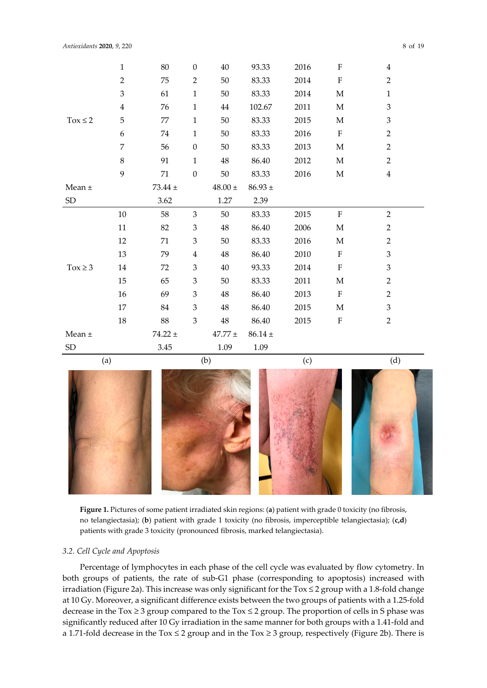|              | $\mathbf 1$             | $80\,$         | $\boldsymbol{0}$            | $40\,$      | 93.33       | 2016 | $\mathbf F$ | $\overline{4}$ |
|--------------|-------------------------|----------------|-----------------------------|-------------|-------------|------|-------------|----------------|
|              | $\overline{2}$          | 75             | $\overline{2}$              | 50          | 83.33       | 2014 | ${\bf F}$   | $\overline{2}$ |
|              | 3                       | 61             | $\mathbf{1}$                | 50          | 83.33       | 2014 | $\mathbf M$ | $\mathbf{1}$   |
|              | $\overline{\mathbf{4}}$ | 76             | $\mathbf{1}$                | 44          | 102.67      | 2011 | $\mathbf M$ | $\mathfrak{Z}$ |
| $Tox \leq 2$ | 5                       | 77             | $\mathbf{1}$                | 50          | 83.33       | 2015 | $\mathbf M$ | $\mathfrak{Z}$ |
|              | 6                       | 74             | $\mathbf 1$                 | 50          | 83.33       | 2016 | ${\bf F}$   | $\overline{2}$ |
|              | $\overline{7}$          | 56             | $\boldsymbol{0}$            | 50          | 83.33       | 2013 | $\mathbf M$ | $\overline{2}$ |
|              | $\,8\,$                 | 91             | $\mathbf{1}$                | $\rm 48$    | 86.40       | 2012 | $\mathbf M$ | $\overline{2}$ |
|              | 9                       | 71             | $\boldsymbol{0}$            | $50\,$      | 83.33       | 2016 | $\mathbf M$ | $\overline{4}$ |
| Mean $\pm$   |                         | $73.44\,\pm\,$ |                             | $48.00 \pm$ | $86.93 \pm$ |      |             |                |
| ${\rm SD}$   |                         | 3.62           |                             | 1.27        | 2.39        |      |             |                |
|              | 10                      | 58             | $\mathfrak{Z}$              | 50          | 83.33       | 2015 | $\rm F$     | $\overline{2}$ |
|              | 11                      | 82             | 3                           | $\rm 48$    | 86.40       | 2006 | M           | $\overline{2}$ |
|              | 12                      | 71             | 3                           | 50          | 83.33       | 2016 | $\mathbf M$ | $\overline{2}$ |
|              | 13                      | 79             | $\overline{4}$              | 48          | 86.40       | 2010 | ${\bf F}$   | 3              |
| $Tox \geq 3$ | 14                      | 72             | $\mathfrak{Z}$              | 40          | 93.33       | 2014 | $\mathbf F$ | 3              |
|              | 15                      | 65             | $\mathfrak{Z}$              | 50          | 83.33       | 2011 | $\mathbf M$ | $\overline{2}$ |
|              | 16                      | 69             | $\ensuremath{\mathfrak{Z}}$ | $\rm 48$    | 86.40       | 2013 | ${\bf F}$   | $\overline{2}$ |
|              | 17                      | 84             | 3                           | 48          | 86.40       | 2015 | $\mathbf M$ | 3              |
|              | $18\,$                  | 88             | 3                           | 48          | 86.40       | 2015 | $\mathbf F$ | $\mathbf{2}$   |
| Mean $\pm$   |                         | $74.22 \pm$    |                             | $47.77 \pm$ | $86.14 \pm$ |      |             |                |
| ${\rm SD}$   |                         | 3.45           |                             | 1.09        | 1.09        |      |             |                |



**Figure 1.** Pictures of some patient irradiated skin regions: (**a**) patient with grade 0 toxicity (no fibrosis, no telangiectasia); (**b**) patient with grade 1 toxicity (no fibrosis, imperceptible telangiectasia); (**c,d**) patients with grade 3 toxicity (pronounced fibrosis, marked telangiectasia).

# *3.2. Cell Cycle and Apoptosis*

Percentage of lymphocytes in each phase of the cell cycle was evaluated by flow cytometry. In both groups of patients, the rate of sub-G1 phase (corresponding to apoptosis) increased with irradiation (Figure 2a). This increase was only significant for the Tox  $\leq$  2 group with a 1.8-fold change at 10 Gy. Moreover, a significant difference exists between the two groups of patients with a 1.25-fold decrease in the Tox ≥ 3 group compared to the Tox ≤ 2 group. The proportion of cells in S phase was significantly reduced after 10 Gy irradiation in the same manner for both groups with a 1.41-fold and a 1.71-fold decrease in the Tox ≤ 2 group and in the Tox ≥ 3 group, respectively (Figure 2b). There is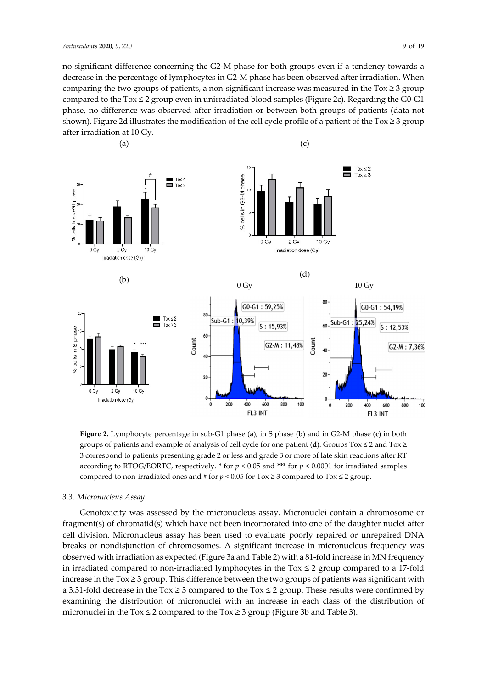no significant difference concerning the G2-M phase for both groups even if a tendency towards a decrease in the percentage of lymphocytes in G2-M phase has been observed after irradiation. When comparing the two groups of patients, a non-significant increase was measured in the  $Tox \geq 3$  group compared to the Tox  $\leq$  2 group even in unirradiated blood samples (Figure 2c). Regarding the G0-G1 phase, no difference was observed after irradiation or between both groups of patients (data not shown). Figure 2d illustrates the modification of the cell cycle profile of a patient of the Tox  $\geq 3$  group after irradiation at 10 Gy.



**Figure 2.** Lymphocyte percentage in sub-G1 phase (**a**), in S phase (**b**) and in G2-M phase (**c**) in both groups of patients and example of analysis of cell cycle for one patient (**d**). Groups  $Tox \le 2$  and  $Tox \ge$ 3 correspond to patients presenting grade 2 or less and grade 3 or more of late skin reactions after RT according to RTOG/EORTC, respectively. \* for *p* < 0.05 and \*\*\* for *p* < 0.0001 for irradiated samples compared to non-irradiated ones and # for  $p < 0.05$  for Tox  $\geq 3$  compared to Tox  $\leq 2$  group.

#### *3.3. Micronucleus Assay*

Genotoxicity was assessed by the micronucleus assay. Micronuclei contain a chromosome or fragment(s) of chromatid(s) which have not been incorporated into one of the daughter nuclei after cell division. Micronucleus assay has been used to evaluate poorly repaired or unrepaired DNA breaks or nondisjunction of chromosomes. A significant increase in micronucleus frequency was observed with irradiation as expected (Figure 3a and Table 2) with a 81-fold increase in MN frequency in irradiated compared to non-irradiated lymphocytes in the  $Tox \leq 2$  group compared to a 17-fold increase in the Tox  $\geq$  3 group. This difference between the two groups of patients was significant with a 3.31-fold decrease in the Tox  $\geq$  3 compared to the Tox  $\leq$  2 group. These results were confirmed by examining the distribution of micronuclei with an increase in each class of the distribution of micronuclei in the Tox  $\leq$  2 compared to the Tox  $\geq$  3 group (Figure 3b and Table 3).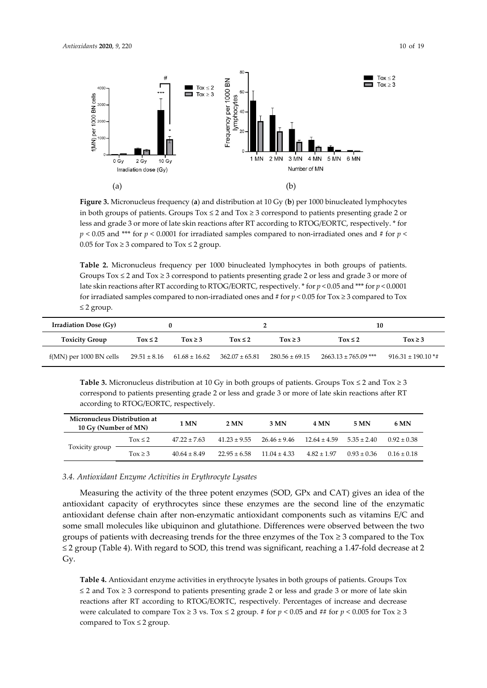

 $(a)$  (b)

**Figure 3.** Micronucleus frequency (**a**) and distribution at 10 Gy (**b**) per 1000 binucleated lymphocytes in both groups of patients. Groups  $Tox \le 2$  and  $Tox \ge 3$  correspond to patients presenting grade 2 or less and grade 3 or more of late skin reactions after RT according to RTOG/EORTC, respectively. \* for  $p < 0.05$  and \*\*\* for  $p < 0.0001$  for irradiated samples compared to non-irradiated ones and # for  $p <$ 0.05 for Tox  $\geq$  3 compared to Tox  $\leq$  2 group.

**Table 2.** Micronucleus frequency per 1000 binucleated lymphocytes in both groups of patients. Groups Tox  $\leq$  2 and Tox  $\geq$  3 correspond to patients presenting grade 2 or less and grade 3 or more of late skin reactions after RT according to RTOG/EORTC, respectively. \* for *p* < 0.05 and \*\*\* for *p* < 0.0001 for irradiated samples compared to non-irradiated ones and # for *p* < 0.05 for Tox ≥ 3 compared to Tox ≤ 2 group.

| <b>Irradiation Dose (Gy)</b>                 |                  |                     |                    |                    | 10                       |                        |
|----------------------------------------------|------------------|---------------------|--------------------|--------------------|--------------------------|------------------------|
| <b>Toxicity Group</b><br>$\text{Tox} \leq 2$ |                  | $\text{Tox} \geq 3$ | $Tox \leq 2$       | $Tox \geq 3$       | $Tox \leq 2$             | $Tox \geq 3$           |
| f(MN) per 1000 BN cells                      | $29.51 \pm 8.16$ | $61.68 \pm 16.62$   | $362.07 \pm 65.81$ | $280.56 \pm 69.15$ | $2663.13 \pm 765.09$ *** | $916.31 \pm 190.10$ *# |

**Table 3.** Micronucleus distribution at 10 Gy in both groups of patients. Groups Tox  $\leq 2$  and Tox  $\geq 3$ correspond to patients presenting grade 2 or less and grade 3 or more of late skin reactions after RT according to RTOG/EORTC, respectively.

| <b>Micronucleus Distribution at</b><br>10 Gy (Number of MN) |              | 1 MN             | $2$ MN           | 3 MN             | 4 MN             | 5 MN            | 6 MN            |
|-------------------------------------------------------------|--------------|------------------|------------------|------------------|------------------|-----------------|-----------------|
|                                                             | $Tox \leq 2$ | $47.22 \pm 7.63$ | $41.23 \pm 9.55$ | $26.46 \pm 9.46$ | $12.64 \pm 4.59$ | $5.35 \pm 2.40$ | $0.92 \pm 0.38$ |
| Toxicity group                                              | $Tox \geq 3$ | $4064 + 849$     | $22.95 \pm 6.58$ | $11.04 \pm 4.33$ | $482 + 197$      | $0.93 + 0.36$   | $0.16 + 0.18$   |

# *3.4. Antioxidant Enzyme Activities in Erythrocyte Lysates*

Measuring the activity of the three potent enzymes (SOD, GPx and CAT) gives an idea of the antioxidant capacity of erythrocytes since these enzymes are the second line of the enzymatic antioxidant defense chain after non-enzymatic antioxidant components such as vitamins E/C and some small molecules like ubiquinon and glutathione. Differences were observed between the two groups of patients with decreasing trends for the three enzymes of the Tox  $\geq 3$  compared to the Tox ≤ 2 group (Table 4). With regard to SOD, this trend was significant, reaching a 1.47-fold decrease at 2 Gy.

**Table 4.** Antioxidant enzyme activities in erythrocyte lysates in both groups of patients. Groups Tox ≤ 2 and Tox ≥ 3 correspond to patients presenting grade 2 or less and grade 3 or more of late skin reactions after RT according to RTOG/EORTC, respectively. Percentages of increase and decrease were calculated to compare Tox  $\geq 3$  vs. Tox  $\leq 2$  group. # for  $p < 0.05$  and ## for  $p < 0.005$  for Tox  $\geq 3$ compared to  $Tox \leq 2$  group.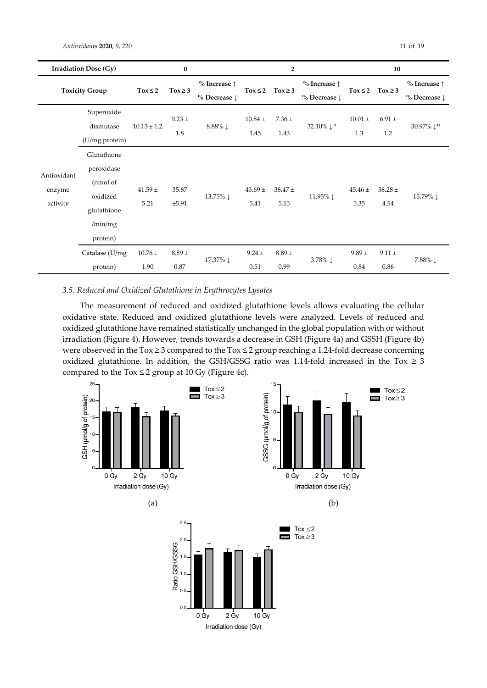| <b>Irradiation Dose (Gy)</b>      |                                                                                         | $\bf{0}$            |                    |                                                      |                     | $\overline{2}$      |                                                      | 10                  |                         |                                                      |
|-----------------------------------|-----------------------------------------------------------------------------------------|---------------------|--------------------|------------------------------------------------------|---------------------|---------------------|------------------------------------------------------|---------------------|-------------------------|------------------------------------------------------|
| <b>Toxicity Group</b>             |                                                                                         | $Tox \leq 2$        | $Tox \geq 3$       | $%$ Increase $\uparrow$<br>$%$ Decrease $\downarrow$ | $Tox \leq 2$        | $Tox \geq 3$        | $%$ Increase $\uparrow$<br>$%$ Decrease $\downarrow$ |                     | $Tox \le 2$ $Tox \ge 3$ | $%$ Increase $\uparrow$<br>$%$ Decrease $\downarrow$ |
|                                   | Superoxide<br>dismutase<br>(U/mg protein)                                               | $10.13 \pm 1.2$     | $9.23 \pm$<br>1.8  | 8.88% ↓                                              | $10.84 \pm$<br>1.45 | $7.36 \pm$<br>1.43  | 32.10%↓ #                                            | $10.01 \pm$<br>1.3  | $6.91 \pm$<br>1.2       | 30.97% ↓##                                           |
| Antioxidant<br>enzyme<br>activity | Glutathione<br>peroxidase<br>(nmol of<br>oxidized<br>glutathione<br>/min/mg<br>protein) | $41.59 \pm$<br>5.21 | 35.87<br>±5.91     | 13.75% ↓                                             | $43.69 \pm$<br>5.41 | $38.47 \pm$<br>5.15 | 11.95% L                                             | $45.46 \pm$<br>5.35 | $38.28 \pm$<br>4.54     | 15.79% ↓                                             |
|                                   | Catalase (U/mg<br>protein)                                                              | $10.76 \pm$<br>1.90 | $8.89 \pm$<br>0.87 | 17.37% L                                             | $9.24 \pm$<br>0.51  | $8.89 \pm$<br>0.99  | $3.78\%$                                             | $9.89 \pm$<br>0.84  | $9.11 \pm$<br>0.86      | 7.88%↓                                               |

# *3.5. Reduced and Oxidized Glutathione in Erythrocytes Lysates*

The measurement of reduced and oxidized glutathione levels allows evaluating the cellular oxidative state. Reduced and oxidized glutathione levels were analyzed. Levels of reduced and oxidized glutathione have remained statistically unchanged in the global population with or without irradiation (Figure 4). However, trends towards a decrease in GSH (Figure 4a) and GSSH (Figure 4b) were observed in the Tox  $\geq$  3 compared to the Tox  $\leq$  2 group reaching a 1.24-fold decrease concerning oxidized glutathione. In addition, the GSH/GSSG ratio was 1.14-fold increased in the Tox  $\geq 3$ compared to the Tox  $\leq$  2 group at 10 Gy (Figure 4c).

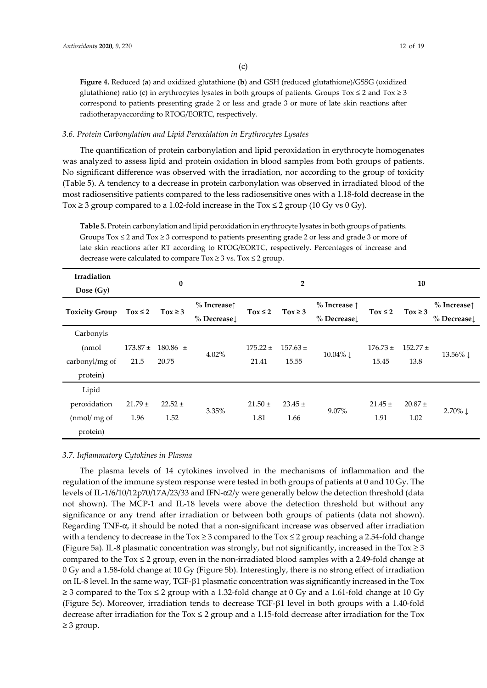**Figure 4.** Reduced (**a**) and oxidized glutathione (**b**) and GSH (reduced glutathione)/GSSG (oxidized glutathione) ratio (**c**) in erythrocytes lysates in both groups of patients. Groups  $Tox \le 2$  and  $Tox \ge 3$ correspond to patients presenting grade 2 or less and grade 3 or more of late skin reactions after radiotherapyaccording to RTOG/EORTC, respectively.

#### *3.6. Protein Carbonylation and Lipid Peroxidation in Erythrocytes Lysates*

The quantification of protein carbonylation and lipid peroxidation in erythrocyte homogenates was analyzed to assess lipid and protein oxidation in blood samples from both groups of patients. No significant difference was observed with the irradiation, nor according to the group of toxicity (Table 5). A tendency to a decrease in protein carbonylation was observed in irradiated blood of the most radiosensitive patients compared to the less radiosensitive ones with a 1.18-fold decrease in the Tox  $\geq$  3 group compared to a 1.02-fold increase in the Tox  $\leq$  2 group (10 Gy vs 0 Gy).

**Table 5.** Protein carbonylation and lipid peroxidation in erythrocyte lysates in both groups of patients. Groups Tox  $\leq$  2 and Tox  $\geq$  3 correspond to patients presenting grade 2 or less and grade 3 or more of late skin reactions after RT according to RTOG/EORTC, respectively. Percentages of increase and decrease were calculated to compare  $Tox \ge 3$  vs.  $Tox \le 2$  group.

| Irradiation           | $\bf{0}$     |                         |                                                                             | $\overline{2}$ |                           | 10                      |                     |                           |                         |
|-----------------------|--------------|-------------------------|-----------------------------------------------------------------------------|----------------|---------------------------|-------------------------|---------------------|---------------------------|-------------------------|
| Dose (Gy)             |              |                         |                                                                             |                |                           |                         |                     |                           |                         |
| <b>Toxicity Group</b> |              | $Tox \le 2$ $Tox \ge 3$ | $%$ Increase $\uparrow$<br>$\text{Tox} \leq 2$<br>$%$ Decrease $\downarrow$ |                | $\text{Tox} \geq 3$       | $%$ Increase $\uparrow$ | $\text{Tox} \leq 2$ |                           | $%$ Increase $\uparrow$ |
|                       |              |                         |                                                                             |                | $%$ Decrease $\downarrow$ |                         | $\text{Tox} \geq 3$ | $%$ Decrease $\downarrow$ |                         |
| Carbonyls             |              |                         |                                                                             |                |                           |                         |                     |                           |                         |
| (nmol                 | $173.87 \pm$ | $180.86 \pm$            | 4.02%                                                                       | $175.22 \pm$   | $157.63 \pm$              |                         | $176.73 \pm$        | $152.77 \pm$              | 13.56% ↓                |
| carbonyl/mg of        | 21.5         | 20.75                   |                                                                             | 21.41          | 15.55                     | 10.04%↓                 | 15.45               | 13.8                      |                         |
| protein)              |              |                         |                                                                             |                |                           |                         |                     |                           |                         |
| Lipid                 |              |                         |                                                                             |                |                           |                         |                     |                           |                         |
| peroxidation          | $21.79 \pm$  | $22.52 \pm$             | 3.35%                                                                       | $21.50 \pm$    | $23.45 \pm$               | 9.07%                   | $21.45 \pm$         | $20.87 \pm$               |                         |
| (nmol/ mg of          | 1.96         | 1.52                    |                                                                             | 1.81           | 1.66                      |                         | 1.91                | 1.02                      | $2.70\%$ $\downarrow$   |
| protein)              |              |                         |                                                                             |                |                           |                         |                     |                           |                         |

#### *3.7. Inflammatory Cytokines in Plasma*

The plasma levels of 14 cytokines involved in the mechanisms of inflammation and the regulation of the immune system response were tested in both groups of patients at 0 and 10 Gy. The levels of IL-1/6/10/12p70/17A/23/33 and IFN-α2/y were generally below the detection threshold (data not shown). The MCP-1 and IL-18 levels were above the detection threshold but without any significance or any trend after irradiation or between both groups of patients (data not shown). Regarding TNF-α, it should be noted that a non-significant increase was observed after irradiation with a tendency to decrease in the Tox ≥ 3 compared to the Tox ≤ 2 group reaching a 2.54-fold change (Figure 5a). IL-8 plasmatic concentration was strongly, but not significantly, increased in the Tox  $\geq$  3 compared to the Tox  $\leq 2$  group, even in the non-irradiated blood samples with a 2.49-fold change at 0 Gy and a 1.58-fold change at 10 Gy (Figure 5b). Interestingly, there is no strong effect of irradiation on IL-8 level. In the same way, TGF-β1 plasmatic concentration was significantly increased in the Tox  $≥$  3 compared to the Tox  $≤$  2 group with a 1.32-fold change at 0 Gy and a 1.61-fold change at 10 Gy (Figure 5c). Moreover, irradiation tends to decrease TGF-β1 level in both groups with a 1.40-fold decrease after irradiation for the Tox  $\leq$  2 group and a 1.15-fold decrease after irradiation for the Tox  $\geq$  3 group.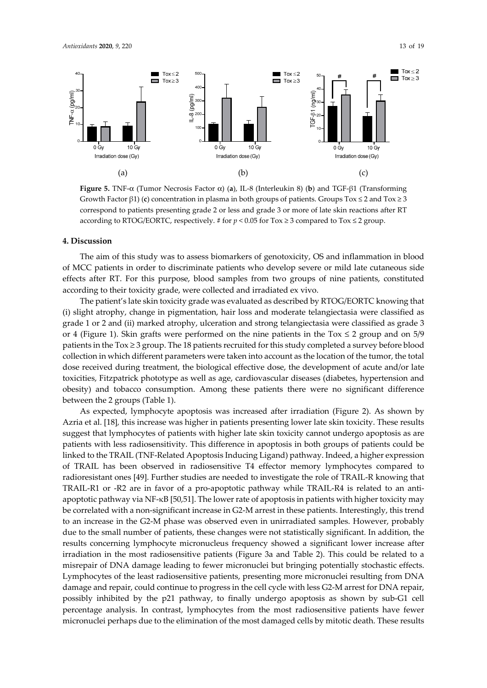

**Figure 5.** TNF-α (Tumor Necrosis Factor α) (**a**), IL-8 (Interleukin 8) (**b**) and TGF-β1 (Transforming Growth Factor β1) (**c**) concentration in plasma in both groups of patients. Groups Tox ≤ 2 and Tox ≥ 3 correspond to patients presenting grade 2 or less and grade 3 or more of late skin reactions after RT according to RTOG/EORTC, respectively. # for  $p < 0.05$  for Tox  $\geq 3$  compared to Tox  $\leq 2$  group.

#### **4. Discussion**

The aim of this study was to assess biomarkers of genotoxicity, OS and inflammation in blood of MCC patients in order to discriminate patients who develop severe or mild late cutaneous side effects after RT. For this purpose, blood samples from two groups of nine patients, constituted according to their toxicity grade, were collected and irradiated ex vivo.

The patient's late skin toxicity grade was evaluated as described by RTOG/EORTC knowing that (i) slight atrophy, change in pigmentation, hair loss and moderate telangiectasia were classified as grade 1 or 2 and (ii) marked atrophy, ulceration and strong telangiectasia were classified as grade 3 or 4 (Figure 1). Skin grafts were performed on the nine patients in the Tox  $\leq$  2 group and on 5/9 patients in the Tox ≥ 3 group. The 18 patients recruited for this study completed a survey before blood collection in which different parameters were taken into account as the location of the tumor, the total dose received during treatment, the biological effective dose, the development of acute and/or late toxicities, Fitzpatrick phototype as well as age, cardiovascular diseases (diabetes, hypertension and obesity) and tobacco consumption. Among these patients there were no significant difference between the 2 groups (Table 1).

As expected, lymphocyte apoptosis was increased after irradiation (Figure 2). As shown by Azria et al. [18]*,* this increase was higher in patients presenting lower late skin toxicity. These results suggest that lymphocytes of patients with higher late skin toxicity cannot undergo apoptosis as are patients with less radiosensitivity. This difference in apoptosis in both groups of patients could be linked to the TRAIL (TNF-Related Apoptosis Inducing Ligand) pathway. Indeed, a higher expression of TRAIL has been observed in radiosensitive T4 effector memory lymphocytes compared to radioresistant ones [49]. Further studies are needed to investigate the role of TRAIL-R knowing that TRAIL-R1 or -R2 are in favor of a pro-apoptotic pathway while TRAIL-R4 is related to an antiapoptotic pathway via NF-κB [50,51]. The lower rate of apoptosis in patients with higher toxicity may be correlated with a non-significant increase in G2-M arrest in these patients. Interestingly, this trend to an increase in the G2-M phase was observed even in unirradiated samples. However, probably due to the small number of patients, these changes were not statistically significant. In addition, the results concerning lymphocyte micronucleus frequency showed a significant lower increase after irradiation in the most radiosensitive patients (Figure 3a and Table 2). This could be related to a misrepair of DNA damage leading to fewer micronuclei but bringing potentially stochastic effects. Lymphocytes of the least radiosensitive patients, presenting more micronuclei resulting from DNA damage and repair, could continue to progress in the cell cycle with less G2-M arrest for DNA repair, possibly inhibited by the p21 pathway, to finally undergo apoptosis as shown by sub-G1 cell percentage analysis. In contrast, lymphocytes from the most radiosensitive patients have fewer micronuclei perhaps due to the elimination of the most damaged cells by mitotic death. These results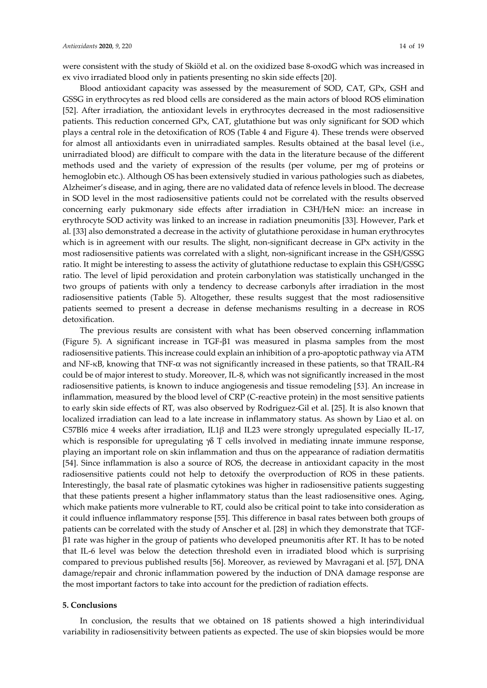were consistent with the study of Skiöld et al. on the oxidized base 8-oxodG which was increased in ex vivo irradiated blood only in patients presenting no skin side effects [20].

Blood antioxidant capacity was assessed by the measurement of SOD, CAT, GPx, GSH and GSSG in erythrocytes as red blood cells are considered as the main actors of blood ROS elimination [52]. After irradiation, the antioxidant levels in erythrocytes decreased in the most radiosensitive patients. This reduction concerned GPx, CAT, glutathione but was only significant for SOD which plays a central role in the detoxification of ROS (Table 4 and Figure 4). These trends were observed for almost all antioxidants even in unirradiated samples. Results obtained at the basal level (i.e., unirradiated blood) are difficult to compare with the data in the literature because of the different methods used and the variety of expression of the results (per volume, per mg of proteins or hemoglobin etc.). Although OS has been extensively studied in various pathologies such as diabetes, Alzheimer's disease, and in aging, there are no validated data of refence levels in blood. The decrease in SOD level in the most radiosensitive patients could not be correlated with the results observed concerning early pukmonary side effects after irradiation in C3H/HeN mice: an increase in erythrocyte SOD activity was linked to an increase in radiation pneumonitis [33]. However, Park et al. [33] also demonstrated a decrease in the activity of glutathione peroxidase in human erythrocytes which is in agreement with our results. The slight, non-significant decrease in GPx activity in the most radiosensitive patients was correlated with a slight, non-significant increase in the GSH/GSSG ratio. It might be interesting to assess the activity of glutathione reductase to explain this GSH/GSSG ratio. The level of lipid peroxidation and protein carbonylation was statistically unchanged in the two groups of patients with only a tendency to decrease carbonyls after irradiation in the most radiosensitive patients (Table 5). Altogether, these results suggest that the most radiosensitive patients seemed to present a decrease in defense mechanisms resulting in a decrease in ROS detoxification.

The previous results are consistent with what has been observed concerning inflammation (Figure 5). A significant increase in TGF- $\beta$ 1 was measured in plasma samples from the most radiosensitive patients. This increase could explain an inhibition of a pro-apoptotic pathway via ATM and NF-κB, knowing that TNF-α was not significantly increased in these patients, so that TRAIL-R4 could be of major interest to study. Moreover, IL-8, which was not significantly increased in the most radiosensitive patients, is known to induce angiogenesis and tissue remodeling [53]. An increase in inflammation, measured by the blood level of CRP (C-reactive protein) in the most sensitive patients to early skin side effects of RT, was also observed by Rodriguez-Gil et al. [25]. It is also known that localized irradiation can lead to a late increase in inflammatory status. As shown by Liao et al. on C57Bl6 mice 4 weeks after irradiation, IL1β and IL23 were strongly upregulated especially IL-17, which is responsible for upregulating γδ T cells involved in mediating innate immune response, playing an important role on skin inflammation and thus on the appearance of radiation dermatitis [54]. Since inflammation is also a source of ROS, the decrease in antioxidant capacity in the most radiosensitive patients could not help to detoxify the overproduction of ROS in these patients. Interestingly, the basal rate of plasmatic cytokines was higher in radiosensitive patients suggesting that these patients present a higher inflammatory status than the least radiosensitive ones. Aging, which make patients more vulnerable to RT, could also be critical point to take into consideration as it could influence inflammatory response [55]. This difference in basal rates between both groups of patients can be correlated with the study of Anscher et al. [28] in which they demonstrate that TGFβ1 rate was higher in the group of patients who developed pneumonitis after RT. It has to be noted that IL-6 level was below the detection threshold even in irradiated blood which is surprising compared to previous published results [56]. Moreover, as reviewed by Mavragani et al. [57], DNA damage/repair and chronic inflammation powered by the induction of DNA damage response are the most important factors to take into account for the prediction of radiation effects.

#### **5. Conclusions**

In conclusion, the results that we obtained on 18 patients showed a high interindividual variability in radiosensitivity between patients as expected. The use of skin biopsies would be more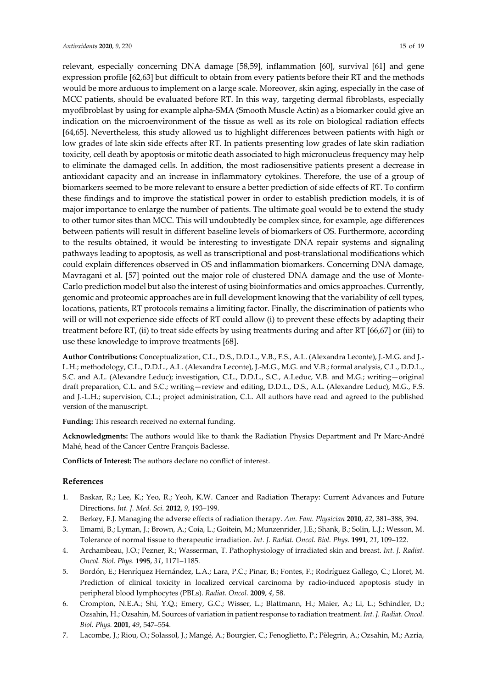relevant, especially concerning DNA damage [58,59], inflammation [60], survival [61] and gene expression profile [62,63] but difficult to obtain from every patients before their RT and the methods would be more arduous to implement on a large scale. Moreover, skin aging, especially in the case of MCC patients, should be evaluated before RT. In this way, targeting dermal fibroblasts, especially myofibroblast by using for example alpha-SMA (Smooth Muscle Actin) as a biomarker could give an indication on the microenvironment of the tissue as well as its role on biological radiation effects [64,65]. Nevertheless, this study allowed us to highlight differences between patients with high or low grades of late skin side effects after RT. In patients presenting low grades of late skin radiation toxicity, cell death by apoptosis or mitotic death associated to high micronucleus frequency may help to eliminate the damaged cells. In addition, the most radiosensitive patients present a decrease in antioxidant capacity and an increase in inflammatory cytokines. Therefore, the use of a group of biomarkers seemed to be more relevant to ensure a better prediction of side effects of RT. To confirm these findings and to improve the statistical power in order to establish prediction models, it is of major importance to enlarge the number of patients. The ultimate goal would be to extend the study to other tumor sites than MCC. This will undoubtedly be complex since, for example, age differences between patients will result in different baseline levels of biomarkers of OS. Furthermore, according to the results obtained, it would be interesting to investigate DNA repair systems and signaling pathways leading to apoptosis, as well as transcriptional and post-translational modifications which could explain differences observed in OS and inflammation biomarkers. Concerning DNA damage, Mavragani et al. [57] pointed out the major role of clustered DNA damage and the use of Monte-Carlo prediction model but also the interest of using bioinformatics and omics approaches. Currently, genomic and proteomic approaches are in full development knowing that the variability of cell types, locations, patients, RT protocols remains a limiting factor. Finally, the discrimination of patients who will or will not experience side effects of RT could allow (i) to prevent these effects by adapting their treatment before RT, (ii) to treat side effects by using treatments during and after RT [66,67] or (iii) to use these knowledge to improve treatments [68].

**Author Contributions:** Conceptualization, C.L., D.S., D.D.L., V.B., F.S., A.L. (Alexandra Leconte), J.-M.G. and J.- L.H.; methodology, C.L., D.D.L., A.L. (Alexandra Leconte), J.-M.G., M.G. and V.B.; formal analysis, C.L., D.D.L., S.C. and A.L. (Alexandre Leduc); investigation, C.L., D.D.L., S.C., A.Leduc, V.B. and M.G.; writing—original draft preparation, C.L. and S.C.; writing—review and editing, D.D.L., D.S., A.L. (Alexandre Leduc), M.G., F.S. and J.-L.H.; supervision, C.L.; project administration, C.L. All authors have read and agreed to the published version of the manuscript.

**Funding:** This research received no external funding.

**Acknowledgments:** The authors would like to thank the Radiation Physics Department and Pr Marc-André Mahé, head of the Cancer Centre François Baclesse.

**Conflicts of Interest:** The authors declare no conflict of interest.

#### **References**

- 1. Baskar, R.; Lee, K.; Yeo, R.; Yeoh, K.W. Cancer and Radiation Therapy: Current Advances and Future Directions. *Int. J. Med. Sci.* **2012**, *9*, 193–199.
- 2. Berkey, F.J. Managing the adverse effects of radiation therapy. *Am. Fam. Physician* **2010**, *82*, 381–388, 394.
- 3. Emami, B.; Lyman, J.; Brown, A.; Coia, L.; Goitein, M.; Munzenrider, J.E.; Shank, B.; Solin, L.J.; Wesson, M. Tolerance of normal tissue to therapeutic irradiation. *Int. J. Radiat. Oncol. Biol. Phys.* **1991**, *21*, 109–122.
- 4. Archambeau, J.O.; Pezner, R.; Wasserman, T. Pathophysiology of irradiated skin and breast. *Int. J. Radiat. Oncol. Biol. Phys.* **1995**, *31*, 1171–1185.
- 5. Bordón, E.; Henríquez Hernández, L.A.; Lara, P.C.; Pinar, B.; Fontes, F.; Rodríguez Gallego, C.; Lloret, M. Prediction of clinical toxicity in localized cervical carcinoma by radio-induced apoptosis study in peripheral blood lymphocytes (PBLs). *Radiat. Oncol.* **2009**, *4*, 58.
- 6. Crompton, N.E.A.; Shi, Y.Q.; Emery, G.C.; Wisser, L.; Blattmann, H.; Maier, A.; Li, L.; Schindler, D.; Ozsahin, H.; Ozsahin, M. Sources of variation in patient response to radiation treatment. *Int. J. Radiat. Oncol. Biol. Phys.* **2001**, *49*, 547–554.
- 7. Lacombe, J.; Riou, O.; Solassol, J.; Mangé, A.; Bourgier, C.; Fenoglietto, P.; Pèlegrin, A.; Ozsahin, M.; Azria,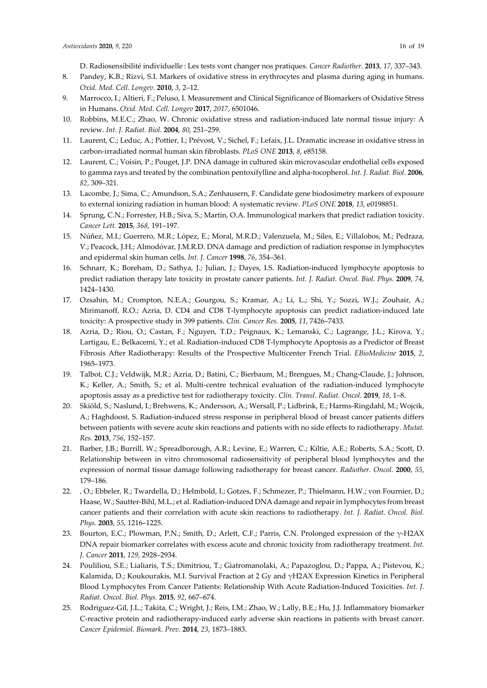D. Radiosensibilité individuelle : Les tests vont changer nos pratiques. *Cancer Radiother.* **2013**, *17*, 337–343.

- 8. Pandey, K.B.; Rizvi, S.I. Markers of oxidative stress in erythrocytes and plasma during aging in humans. *Oxid. Med. Cell. Longev.* **2010**, *3*, 2–12.
- 9. Marrocco, I.; Altieri, F.; Peluso, I. Measurement and Clinical Significance of Biomarkers of Oxidative Stress in Humans. *Oxid. Med. Cell. Longev* **2017**, *2017*, 6501046.
- 10. Robbins, M.E.C.; Zhao, W. Chronic oxidative stress and radiation-induced late normal tissue injury: A review. *Int. J. Radiat. Biol.* **2004**, *80*, 251–259.
- 11. Laurent, C.; Leduc, A.; Pottier, I.; Prévost, V.; Sichel, F.; Lefaix, J.L. Dramatic increase in oxidative stress in carbon-irradiated normal human skin fibroblasts. *PLoS ONE* **2013**, *8*, e85158.
- 12. Laurent, C.; Voisin, P.; Pouget, J.P. DNA damage in cultured skin microvascular endothelial cells exposed to gamma rays and treated by the combination pentoxifylline and alpha-tocopherol. *Int. J. Radiat. Biol.* **2006**, *82*, 309–321.
- 13. Lacombe, J.; Sima, C.; Amundson, S.A.; Zenhausern, F. Candidate gene biodosimetry markers of exposure to external ionizing radiation in human blood: A systematic review. *PLoS ONE* **2018**, *13*, e0198851.
- 14. Sprung, C.N.; Forrester, H.B.; Siva, S.; Martin, O.A. Immunological markers that predict radiation toxicity. *Cancer Lett.* **2015**, *368*, 191–197.
- 15. Núñez, M.I.; Guerrero, M.R.; López, E.; Moral, M.R.D.; Valenzuela, M.; Siles, E.; Villalobos, M.; Pedraza, V.; Peacock, J.H.; Almodóvar, J.M.R.D. DNA damage and prediction of radiation response in lymphocytes and epidermal skin human cells. *Int. J. Cancer* **1998**, *76*, 354–361.
- 16. Schnarr, K.; Boreham, D.; Sathya, J.; Julian, J.; Dayes, I.S. Radiation-induced lymphocyte apoptosis to predict radiation therapy late toxicity in prostate cancer patients. *Int. J. Radiat. Oncol. Biol. Phys.* **2009**, *74*, 1424–1430.
- 17. Ozsahin, M.; Crompton, N.E.A.; Gourgou, S.; Kramar, A.; Li, L.; Shi, Y.; Sozzi, W.J.; Zouhair, A.; Mirimanoff, R.O.; Azria, D. CD4 and CD8 T-lymphocyte apoptosis can predict radiation-induced late toxicity: A prospective study in 399 patients. *Clin. Cancer Res.* **2005**, *11*, 7426–7433.
- 18. Azria, D.; Riou, O.; Castan, F.; Nguyen, T.D.; Peignaux, K.; Lemanski, C.; Lagrange, J.L.; Kirova, Y.; Lartigau, E.; Belkacemi, Y.; et al. Radiation-induced CD8 T-lymphocyte Apoptosis as a Predictor of Breast Fibrosis After Radiotherapy: Results of the Prospective Multicenter French Trial. *EBioMedicine* **2015**, *2*, 1965–1973.
- 19. Talbot, C.J.; Veldwijk, M.R.; Azria, D.; Batini, C.; Bierbaum, M.; Brengues, M.; Chang-Claude, J.; Johnson, K.; Keller, A.; Smith, S.; et al. Multi-centre technical evaluation of the radiation-induced lymphocyte apoptosis assay as a predictive test for radiotherapy toxicity. *Clin. Transl. Radiat. Oncol.* **2019**, *18*, 1–8.
- 20. Skiöld, S.; Naslund, I.; Brehwens, K.; Andersson, A.; Wersall, P.; Lidbrink, E.; Harms-Ringdahl, M.; Wojcik, A.; Haghdoost, S. Radiation-induced stress response in peripheral blood of breast cancer patients differs between patients with severe acute skin reactions and patients with no side effects to radiotherapy. *Mutat. Res.* **2013**, *756*, 152–157.
- 21. Barber, J.B.; Burrill, W.; Spreadborough, A.R.; Levine, E.; Warren, C.; Kiltie, A.E.; Roberts, S.A.; Scott, D. Relationship between in vitro chromosomal radiosensitivity of peripheral blood lymphocytes and the expression of normal tissue damage following radiotherapy for breast cancer. *Radiother. Oncol.* **2000**, *55*, 179–186.
- 22. , O.; Ebbeler, R.; Twardella, D.; Helmbold, I.; Gotzes, F.; Schmezer, P.; Thielmann, H.W.; von Fournier, D.; Haase, W.; Sautter-Bihl, M.L.; et al. Radiation-induced DNA damage and repair in lymphocytes from breast cancer patients and their correlation with acute skin reactions to radiotherapy. *Int. J. Radiat. Oncol. Biol. Phys.* **2003**, *55*, 1216–1225.
- 23. Bourton, E.C.; Plowman, P.N.; Smith, D.; Arlett, C.F.; Parris, C.N. Prolonged expression of the γ-H2AX DNA repair biomarker correlates with excess acute and chronic toxicity from radiotherapy treatment. *Int. J. Cancer* **2011**, *129*, 2928–2934.
- 24. Pouliliou, S.E.; Lialiaris, T.S.; Dimitriou, T.; Giatromanolaki, A.; Papazoglou, D.; Pappa, A.; Pistevou, K.; Kalamida, D.; Koukourakis, M.I. Survival Fraction at 2 Gy and γH2AX Expression Kinetics in Peripheral Blood Lymphocytes From Cancer Patients: Relationship With Acute Radiation-Induced Toxicities. *Int. J. Radiat. Oncol. Biol. Phys.* **2015**, *92*, 667–674.
- 25. Rodriguez-Gil, J.L.; Takita, C.; Wright, J.; Reis, I.M.; Zhao, W.; Lally, B.E.; Hu, J.J. Inflammatory biomarker C-reactive protein and radiotherapy-induced early adverse skin reactions in patients with breast cancer. *Cancer Epidemiol. Biomark. Prev.* **2014**, *23*, 1873–1883.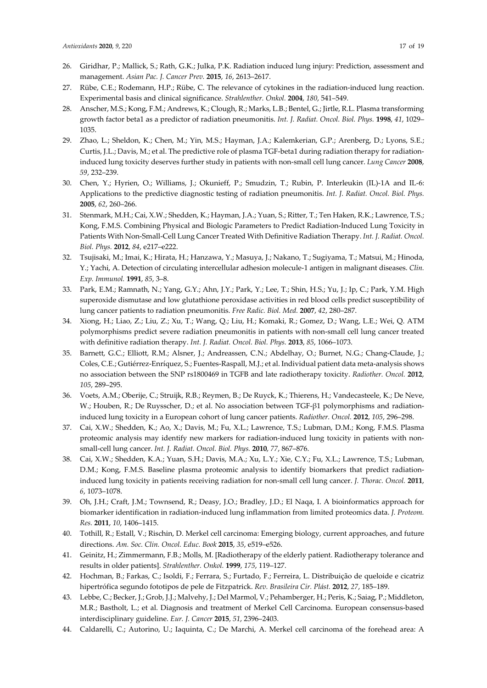- 26. Giridhar, P.; Mallick, S.; Rath, G.K.; Julka, P.K. Radiation induced lung injury: Prediction, assessment and management. *Asian Pac. J. Cancer Prev.* **2015**, *16*, 2613–2617.
- 27. Rübe, C.E.; Rodemann, H.P.; Rübe, C. The relevance of cytokines in the radiation-induced lung reaction. Experimental basis and clinical significance. *Strahlenther. Onkol.* **2004**, *180*, 541–549.
- 28. Anscher, M.S.; Kong, F.M.; Andrews, K.; Clough, R.; Marks, L.B.; Bentel, G.; Jirtle, R.L. Plasma transforming growth factor beta1 as a predictor of radiation pneumonitis. *Int. J. Radiat. Oncol. Biol. Phys.* **1998**, *41*, 1029– 1035.
- 29. Zhao, L.; Sheldon, K.; Chen, M.; Yin, M.S.; Hayman, J.A.; Kalemkerian, G.P.; Arenberg, D.; Lyons, S.E.; Curtis, J.L.; Davis, M.; et al. The predictive role of plasma TGF-beta1 during radiation therapy for radiationinduced lung toxicity deserves further study in patients with non-small cell lung cancer. *Lung Cancer* **2008**, *59*, 232–239.
- 30. Chen, Y.; Hyrien, O.; Williams, J.; Okunieff, P.; Smudzin, T.; Rubin, P. Interleukin (IL)-1A and IL-6: Applications to the predictive diagnostic testing of radiation pneumonitis. *Int. J. Radiat. Oncol. Biol. Phys.* **2005**, *62*, 260–266.
- 31. Stenmark, M.H.; Cai, X.W.; Shedden, K.; Hayman, J.A.; Yuan, S.; Ritter, T.; Ten Haken, R.K.; Lawrence, T.S.; Kong, F.M.S. Combining Physical and Biologic Parameters to Predict Radiation-Induced Lung Toxicity in Patients With Non-Small-Cell Lung Cancer Treated With Definitive Radiation Therapy. *Int. J. Radiat. Oncol. Biol. Phys.* **2012**, *84*, e217–e222.
- 32. Tsujisaki, M.; Imai, K.; Hirata, H.; Hanzawa, Y.; Masuya, J.; Nakano, T.; Sugiyama, T.; Matsui, M.; Hinoda, Y.; Yachi, A. Detection of circulating intercellular adhesion molecule-1 antigen in malignant diseases. *Clin. Exp. Immunol.* **1991**, *85*, 3–8.
- 33. Park, E.M.; Ramnath, N.; Yang, G.Y.; Ahn, J.Y.; Park, Y.; Lee, T.; Shin, H.S.; Yu, J.; Ip, C.; Park, Y.M. High superoxide dismutase and low glutathione peroxidase activities in red blood cells predict susceptibility of lung cancer patients to radiation pneumonitis. *Free Radic. Biol. Med.* **2007**, *42*, 280–287.
- 34. Xiong, H.; Liao, Z.; Liu, Z.; Xu, T.; Wang, Q.; Liu, H.; Komaki, R.; Gomez, D.; Wang, L.E.; Wei, Q. ATM polymorphisms predict severe radiation pneumonitis in patients with non-small cell lung cancer treated with definitive radiation therapy. *Int. J. Radiat. Oncol. Biol. Phys.* **2013**, *85*, 1066–1073.
- 35. Barnett, G.C.; Elliott, R.M.; Alsner, J.; Andreassen, C.N.; Abdelhay, O.; Burnet, N.G.; Chang-Claude, J.; Coles, C.E.; Gutiérrez-Enríquez, S.; Fuentes-Raspall, M.J.; et al. Individual patient data meta-analysis shows no association between the SNP rs1800469 in TGFB and late radiotherapy toxicity. *Radiother. Oncol.* **2012**, *105*, 289–295.
- 36. Voets, A.M.; Oberije, C.; Struijk, R.B.; Reymen, B.; De Ruyck, K.; Thierens, H.; Vandecasteele, K.; De Neve, W.; Houben, R.; De Ruysscher, D.; et al. No association between TGF-β1 polymorphisms and radiationinduced lung toxicity in a European cohort of lung cancer patients. *Radiother. Oncol.* **2012**, *105*, 296–298.
- 37. Cai, X.W.; Shedden, K.; Ao, X.; Davis, M.; Fu, X.L.; Lawrence, T.S.; Lubman, D.M.; Kong, F.M.S. Plasma proteomic analysis may identify new markers for radiation-induced lung toxicity in patients with nonsmall-cell lung cancer. *Int. J. Radiat. Oncol. Biol. Phys.* **2010**, *77*, 867–876.
- 38. Cai, X.W.; Shedden, K.A.; Yuan, S.H.; Davis, M.A.; Xu, L.Y.; Xie, C.Y.; Fu, X.L.; Lawrence, T.S.; Lubman, D.M.; Kong, F.M.S. Baseline plasma proteomic analysis to identify biomarkers that predict radiationinduced lung toxicity in patients receiving radiation for non-small cell lung cancer. *J. Thorac. Oncol.* **2011**, *6*, 1073–1078.
- 39. Oh, J.H.; Craft, J.M.; Townsend, R.; Deasy, J.O.; Bradley, J.D.; El Naqa, I. A bioinformatics approach for biomarker identification in radiation-induced lung inflammation from limited proteomics data. *J. Proteom. Res.* **2011**, *10*, 1406–1415.
- 40. Tothill, R.; Estall, V.; Rischin, D. Merkel cell carcinoma: Emerging biology, current approaches, and future directions. *Am. Soc. Clin. Oncol. Educ. Book* **2015**, *35*, e519–e526.
- 41. Geinitz, H.; Zimmermann, F.B.; Molls, M. [Radiotherapy of the elderly patient. Radiotherapy tolerance and results in older patients]. *Strahlenther. Onkol.* **1999**, *175*, 119–127.
- 42. Hochman, B.; Farkas, C.; Isoldi, F.; Ferrara, S.; Furtado, F.; Ferreira, L. Distribuição de queloide e cicatriz hipertrófica segundo fototipos de pele de Fitzpatrick. *Rev. Brasileira Cir. Plást.* **2012**, *27*, 185–189.
- 43. Lebbe, C.; Becker, J.; Grob, J.J.; Malvehy, J.; Del Marmol, V.; Pehamberger, H.; Peris, K.; Saiag, P.; Middleton, M.R.; Bastholt, L.; et al. Diagnosis and treatment of Merkel Cell Carcinoma. European consensus-based interdisciplinary guideline. *Eur. J. Cancer* **2015**, *51*, 2396–2403.
- 44. Caldarelli, C.; Autorino, U.; Iaquinta, C.; De Marchi, A. Merkel cell carcinoma of the forehead area: A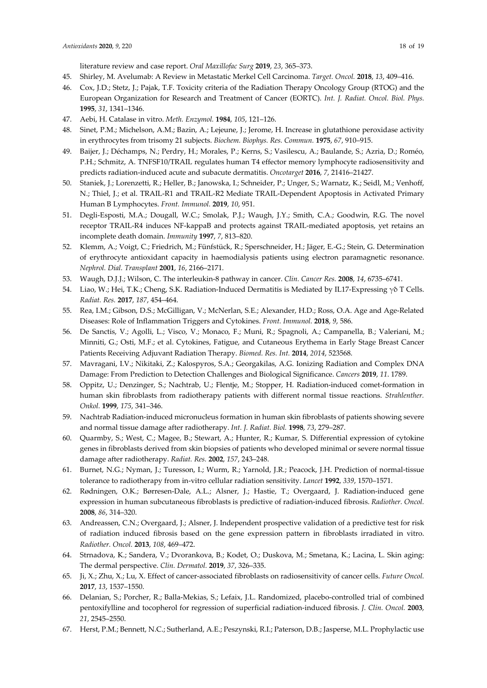- 45. Shirley, M. Avelumab: A Review in Metastatic Merkel Cell Carcinoma. *Target. Oncol.* **2018**, *13*, 409–416.
- 46. Cox, J.D.; Stetz, J.; Pajak, T.F. Toxicity criteria of the Radiation Therapy Oncology Group (RTOG) and the European Organization for Research and Treatment of Cancer (EORTC). *Int. J. Radiat. Oncol. Biol. Phys.* **1995**, *31*, 1341–1346.
- 47. Aebi, H. Catalase in vitro. *Meth. Enzymol.* **1984**, *105*, 121–126.
- 48. Sinet, P.M.; Michelson, A.M.; Bazin, A.; Lejeune, J.; Jerome, H. Increase in glutathione peroxidase activity in erythrocytes from trisomy 21 subjects. *Biochem. Biophys. Res. Commun.* **1975**, *67*, 910–915.
- 49. Baijer, J.; Déchamps, N.; Perdry, H.; Morales, P.; Kerns, S.; Vasilescu, A.; Baulande, S.; Azria, D.; Roméo, P.H.; Schmitz, A. TNFSF10/TRAIL regulates human T4 effector memory lymphocyte radiosensitivity and predicts radiation-induced acute and subacute dermatitis. *Oncotarget* **2016**, *7*, 21416–21427.
- 50. Staniek, J.; Lorenzetti, R.; Heller, B.; Janowska, I.; Schneider, P.; Unger, S.; Warnatz, K.; Seidl, M.; Venhoff, N.; Thiel, J.; et al. TRAIL-R1 and TRAIL-R2 Mediate TRAIL-Dependent Apoptosis in Activated Primary Human B Lymphocytes. *Front. Immunol.* **2019**, *10*, 951.
- 51. Degli-Esposti, M.A.; Dougall, W.C.; Smolak, P.J.; Waugh, J.Y.; Smith, C.A.; Goodwin, R.G. The novel receptor TRAIL-R4 induces NF-kappaB and protects against TRAIL-mediated apoptosis, yet retains an incomplete death domain. *Immunity* **1997**, *7*, 813–820.
- 52. Klemm, A.; Voigt, C.; Friedrich, M.; Fünfstück, R.; Sperschneider, H.; Jäger, E.-G.; Stein, G. Determination of erythrocyte antioxidant capacity in haemodialysis patients using electron paramagnetic resonance. *Nephrol. Dial. Transplant* **2001**, *16*, 2166–2171.
- 53. Waugh, D.J.J.; Wilson, C. The interleukin-8 pathway in cancer. *Clin. Cancer Res.* **2008**, *14*, 6735–6741.
- 54. Liao, W.; Hei, T.K.; Cheng, S.K. Radiation-Induced Dermatitis is Mediated by IL17-Expressing γδ T Cells. *Radiat. Res.* **2017**, *187*, 454–464.
- 55. Rea, I.M.; Gibson, D.S.; McGilligan, V.; McNerlan, S.E.; Alexander, H.D.; Ross, O.A. Age and Age-Related Diseases: Role of Inflammation Triggers and Cytokines. *Front. Immunol.* **2018**, *9*, 586.
- 56. De Sanctis, V.; Agolli, L.; Visco, V.; Monaco, F.; Muni, R.; Spagnoli, A.; Campanella, B.; Valeriani, M.; Minniti, G.; Osti, M.F.; et al. Cytokines, Fatigue, and Cutaneous Erythema in Early Stage Breast Cancer Patients Receiving Adjuvant Radiation Therapy. *Biomed. Res. Int.* **2014**, *2014*, 523568.
- 57. Mavragani, I.V.; Nikitaki, Z.; Kalospyros, S.A.; Georgakilas, A.G. Ionizing Radiation and Complex DNA Damage: From Prediction to Detection Challenges and Biological Significance. *Cancers* **2019**, *11*. 1789.
- 58. Oppitz, U.; Denzinger, S.; Nachtrab, U.; Flentje, M.; Stopper, H. Radiation-induced comet-formation in human skin fibroblasts from radiotherapy patients with different normal tissue reactions. *Strahlenther. Onkol.* **1999**, *175*, 341–346.
- 59. Nachtrab Radiation-induced micronucleus formation in human skin fibroblasts of patients showing severe and normal tissue damage after radiotherapy. *Int. J. Radiat. Biol.* **1998**, *73*, 279–287.
- 60. Quarmby, S.; West, C.; Magee, B.; Stewart, A.; Hunter, R.; Kumar, S. Differential expression of cytokine genes in fibroblasts derived from skin biopsies of patients who developed minimal or severe normal tissue damage after radiotherapy. *Radiat. Res.* **2002**, *157*, 243–248.
- 61. Burnet, N.G.; Nyman, J.; Turesson, I.; Wurm, R.; Yarnold, J.R.; Peacock, J.H. Prediction of normal-tissue tolerance to radiotherapy from in-vitro cellular radiation sensitivity. *Lancet* **1992**, *339*, 1570–1571.
- 62. Rødningen, O.K.; Børresen-Dale, A.L.; Alsner, J.; Hastie, T.; Overgaard, J. Radiation-induced gene expression in human subcutaneous fibroblasts is predictive of radiation-induced fibrosis. *Radiother. Oncol.* **2008**, *86*, 314–320.
- 63. Andreassen, C.N.; Overgaard, J.; Alsner, J. Independent prospective validation of a predictive test for risk of radiation induced fibrosis based on the gene expression pattern in fibroblasts irradiated in vitro. *Radiother. Oncol.* **2013**, *108*, 469–472.
- 64. Strnadova, K.; Sandera, V.; Dvorankova, B.; Kodet, O.; Duskova, M.; Smetana, K.; Lacina, L. Skin aging: The dermal perspective. *Clin. Dermatol.* **2019**, *37*, 326–335.
- 65. Ji, X.; Zhu, X.; Lu, X. Effect of cancer-associated fibroblasts on radiosensitivity of cancer cells. *Future Oncol.* **2017**, *13*, 1537–1550.
- 66. Delanian, S.; Porcher, R.; Balla-Mekias, S.; Lefaix, J.L. Randomized, placebo-controlled trial of combined pentoxifylline and tocopherol for regression of superficial radiation-induced fibrosis. *J. Clin. Oncol.* **2003**, *21*, 2545–2550.
- 67. Herst, P.M.; Bennett, N.C.; Sutherland, A.E.; Peszynski, R.I.; Paterson, D.B.; Jasperse, M.L. Prophylactic use